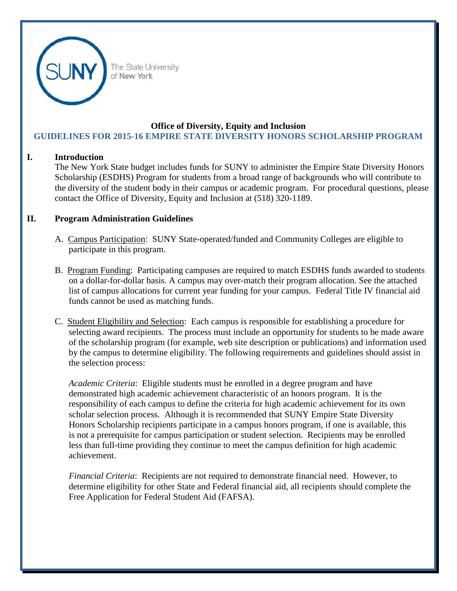

The State University of New York

## **Office of Diversity, Equity and Inclusion GUIDELINES FOR 2015-16 EMPIRE STATE DIVERSITY HONORS SCHOLARSHIP PROGRAM**

## **I. Introduction**

The New York State budget includes funds for SUNY to administer the Empire State Diversity Honors Scholarship (ESDHS) Program for students from a broad range of backgrounds who will contribute to the diversity of the student body in their campus or academic program. For procedural questions, please contact the Office of Diversity, Equity and Inclusion at (518) 320-1189.

## **II. Program Administration Guidelines**

- A. Campus Participation: SUNY State-operated/funded and Community Colleges are eligible to participate in this program.
- B. Program Funding: Participating campuses are required to match ESDHS funds awarded to students on a dollar-for-dollar basis. A campus may over-match their program allocation. See the attached list of campus allocations for current year funding for your campus. Federal Title IV financial aid funds cannot be used as matching funds.
- C. Student Eligibility and Selection: Each campus is responsible for establishing a procedure for selecting award recipients. The process must include an opportunity for students to be made aware of the scholarship program (for example, web site description or publications) and information used by the campus to determine eligibility. The following requirements and guidelines should assist in the selection process:

*Academic Criteria*: Eligible students must be enrolled in a degree program and have demonstrated high academic achievement characteristic of an honors program. It is the responsibility of each campus to define the criteria for high academic achievement for its own scholar selection process. Although it is recommended that SUNY Empire State Diversity Honors Scholarship recipients participate in a campus honors program, if one is available, this is not a prerequisite for campus participation or student selection. Recipients may be enrolled less than full-time providing they continue to meet the campus definition for high academic achievement.

*Financial Criteria*: Recipients are not required to demonstrate financial need. However, to determine eligibility for other State and Federal financial aid, all recipients should complete the Free Application for Federal Student Aid (FAFSA).